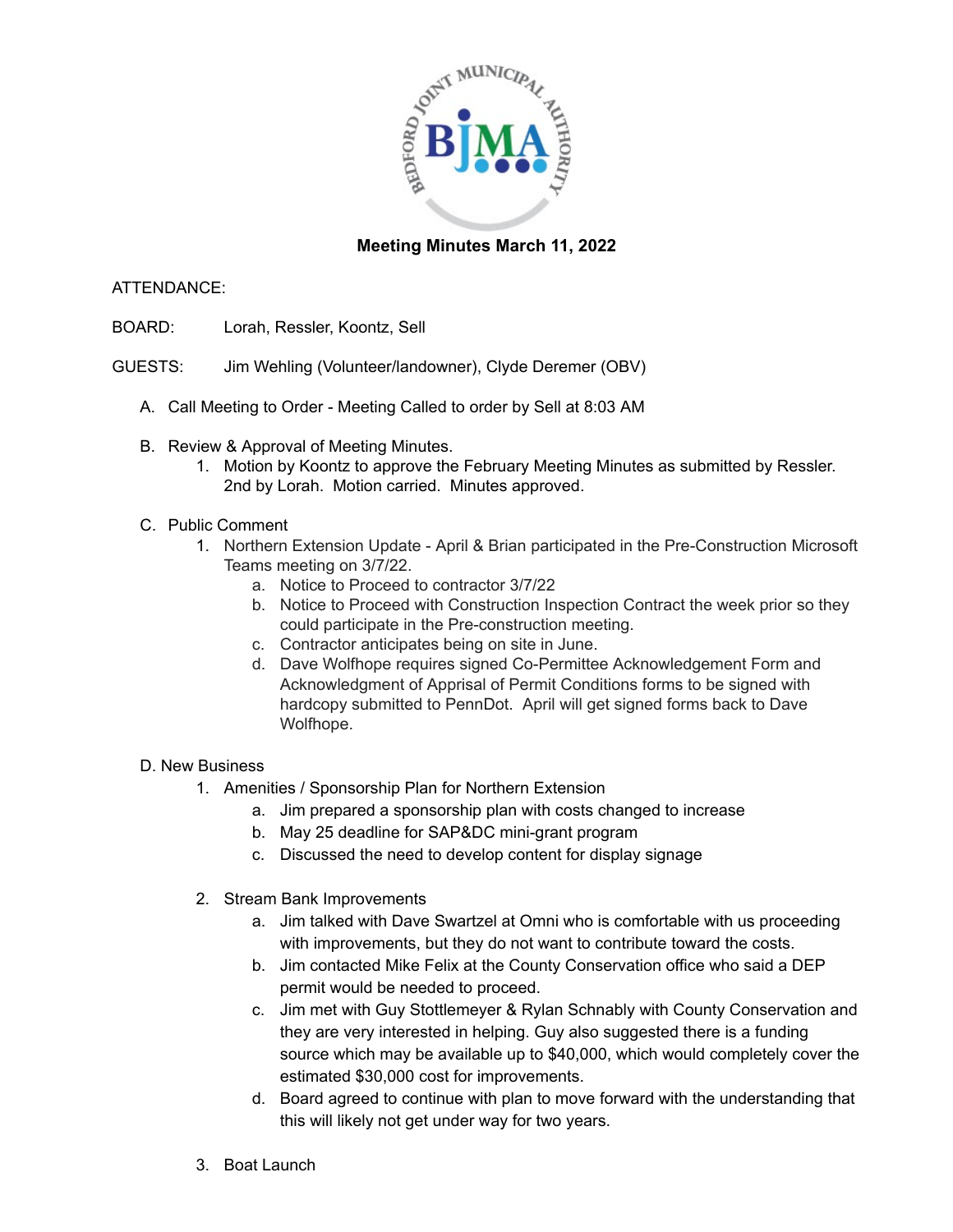

## **Meeting Minutes March 11, 2022**

### ATTENDANCE:

- BOARD: Lorah, Ressler, Koontz, Sell
- GUESTS: Jim Wehling (Volunteer/landowner), Clyde Deremer (OBV)
	- A. Call Meeting to Order Meeting Called to order by Sell at 8:03 AM
	- B. Review & Approval of Meeting Minutes.
		- 1. Motion by Koontz to approve the February Meeting Minutes as submitted by Ressler. 2nd by Lorah. Motion carried. Minutes approved.

### C. Public Comment

- 1. Northern Extension Update April & Brian participated in the Pre-Construction Microsoft Teams meeting on 3/7/22.
	- a. Notice to Proceed to contractor 3/7/22
	- b. Notice to Proceed with Construction Inspection Contract the week prior so they could participate in the Pre-construction meeting.
	- c. Contractor anticipates being on site in June.
	- d. Dave Wolfhope requires signed Co-Permittee Acknowledgement Form and Acknowledgment of Apprisal of Permit Conditions forms to be signed with hardcopy submitted to PennDot. April will get signed forms back to Dave Wolfhope.

#### D. New Business

- 1. Amenities / Sponsorship Plan for Northern Extension
	- a. Jim prepared a sponsorship plan with costs changed to increase
	- b. May 25 deadline for SAP&DC mini-grant program
	- c. Discussed the need to develop content for display signage
- 2. Stream Bank Improvements
	- a. Jim talked with Dave Swartzel at Omni who is comfortable with us proceeding with improvements, but they do not want to contribute toward the costs.
	- b. Jim contacted Mike Felix at the County Conservation office who said a DEP permit would be needed to proceed.
	- c. Jim met with Guy Stottlemeyer & Rylan Schnably with County Conservation and they are very interested in helping. Guy also suggested there is a funding source which may be available up to \$40,000, which would completely cover the estimated \$30,000 cost for improvements.
	- d. Board agreed to continue with plan to move forward with the understanding that this will likely not get under way for two years.
- 3. Boat Launch